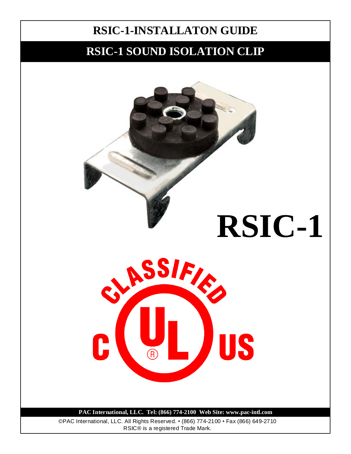## **RSIC-1 SOUND ISOLATION CLIP**

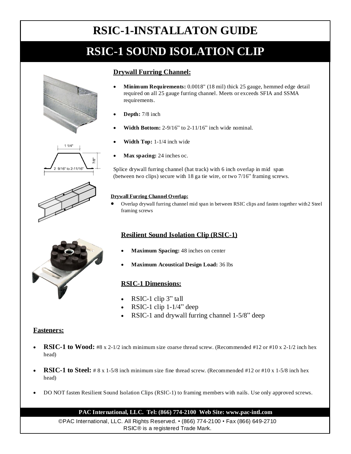# **RSIC-1 SOUND ISOLATION CLIP**

### **Drywall Furring Channel:**

- **Minimum Requirements:** 0.0018" (18 mil) thick 25 gauge, hemmed edge detail required on all 25 gauge furring channel. Meets or exceeds SFIA and SSMA requirements.
- **Depth:** 7/8 inch
- **Width Bottom:** 2-9/16" to 2-11/16" inch wide nominal.
- **Width Top:** 1-1/4 inch wide
- **Max spacing:** 24 inches oc.

Splice drywall furring channel (hat track) with 6 inch overlap in mid span (between two clips) secure with 18 ga tie wire, or two 7/16" framing screws.

### **Drywall Furring Channel Overlap:**

 Overlap drywall furring channel mid span in between RSIC clips and fasten together with 2 Steel framing screws

### **Resilient Sound Isolation Clip (RSIC-1)**

- **Maximum Spacing:** 48 inches on center
- **Maximum Acoustical Design Load:** 36 lbs

### **RSIC-1 Dimensions:**

- RSIC-1 clip 3" tall
- RSIC-1 clip 1-1/4" deep
- RSIC-1 and drywall furring channel 1-5/8" deep

### **Fasteners:**

- **RSIC-1 to Wood:** #8 x 2-1/2 inch minimum size coarse thread screw. (Recommended #12 or #10 x 2-1/2 inch hex head)
- **RSIC-1 to Steel:** # 8 x 1-5/8 inch minimum size fine thread screw. (Recommended #12 or #10 x 1-5/8 inch hex head)
- DO NOT fasten Resilient Sound Isolation Clips (RSIC-1) to framing members with nails. Use only approved screws.

### **PAC International, LLC. Tel: (866) 774-2100 Web Site: www.pac-intl.com**

©PAC International, LLC. All Rights Reserved. • (866) 774-2100 • Fax (866) 649-2710 RSIC® is a registered Trade Mark.





 $11/4'$ 

9/16" to 2-11/16

 $7/8"$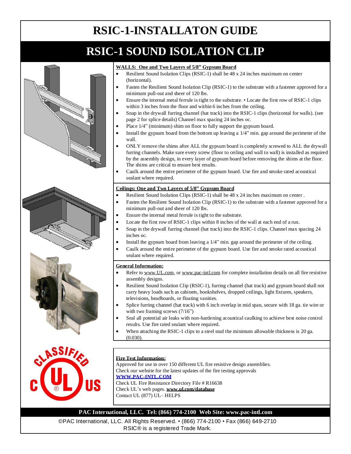# **RSIC-1 SOUND ISOLATION CLIP**









#### **WALLS: One and Two Layers of 5/8" Gypsum Board**

- Resilient Sound Isolation Clips (RSIC-1) shall be 48 x 24 inches maximum on center (horizontal).
- Fasten the Resilient Sound Isolation Clip (RSIC-1) to the substrate with a fastener approved for a minimum pull-out and sheer of 120 lbs.
- Ensure the internal metal ferrule is tight to the substrate. Locate the first row of RSIC-1 clips within 3 inches from the floor and within 6 inches from the ceiling.
- Snap in the drywall furring channel (hat track) into the RSIC-1 clips (horizontal for walls). (see page 2 for splice details) Channel max spacing 24 inches oc.
- Place 1/4" (minimum) shim on floor to fully support the gypsum board.
- Install the gypsum board from the bottom up leaving a 1/4" min. gap around the perimeter of the wall.
- ONLY remove the shims after ALL the gypsum board is completely screwed to ALL the drywall furring channels. Make sure every screw (floor to ceiling and wall to wall) is installed as required by the assembly design, in every layer of gypsum board before removing the shims at the floor. The shims are critical to ensure best results.
- Caulk around the entire perimeter of the gypsum board. Use fire and smoke rated acoustical sealant where required.

#### **Ceilings: One and Two Layers of 5/8" Gypsum Board**

- Resilient Sound Isolation Clips (RSIC-1) shall be 48 x 24 inches maximum on center .
- Fasten the Resilient Sound Isolation Clip (RSIC-1) to the substrate with a fastener approved for a minimum pull-out and sheer of 120 lbs.
- Ensure the internal metal ferrule is tight to the substrate.
- Locate the first row of RSIC-1 clips within 8 inches of the wall at each end of a run.
- Snap in the drywall furring channel (hat track) into the RSIC-1 clips. Channel max spacing 24 inches oc.
- Install the gypsum board from leaving a 1/4" min. gap around the perimeter of the ceiling.
- Caulk around the entire perimeter of the gypsum board. Use fire and smoke rated acoustical sealant where required.

#### **General Information:**

- Refer to www.UL.com, or www.pac-intl.com for complete installation details on all fire resistive assembly designs.
- Resilient Sound Isolation Clip (RSIC-1), furring channel (hat track) and gypsum board shall not carry heavy loads such as cabinets, bookshelves, dropped ceilings, light fixtures, speakers, televisions, headboards, or floating vanities.
- Splice furring channel (hat track) with 6 inch overlap in mid span, secure with 18 ga. tie wire or with two framing screws (7/16")
- Seal all potential air leaks with non-hardening acoustical caulking to achieve best noise control results. Use fire rated sealant where required.
- When attaching the RSIC-1 clips to a steel stud the minimum allowable thickness is 20 ga. (0.030).

### **Fire Test Information:**

Approved for use in over 150 different UL fire resistive design assemblies. Check our website for the latest updates of the fire testing approvals **WWW.PAC-INTL.COM** Check UL Fire Resistance Directory File # R16638 Check UL's web pages. **www.ul.com/database**

Contact UL (877) UL– HELPS

### **PAC International, LLC. Tel: (866) 774-2100 Web Site: www.pac-intl.com**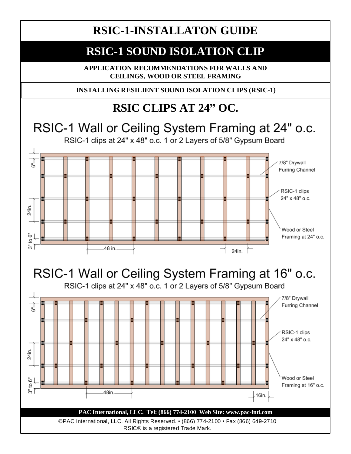## **RSIC-1 SOUND ISOLATION CLIP**

**APPLICATION RECOMMENDATIONS FOR WALLS AND CEILINGS, WOOD OR STEEL FRAMING**

**INSTALLING RESILIENT SOUND ISOLATION CLIPS (RSIC-1)**

# **RSIC CLIPS AT 24" OC.**

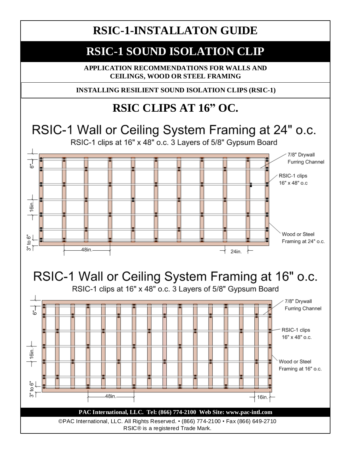## **RSIC-1 SOUND ISOLATION CLIP**

**APPLICATION RECOMMENDATIONS FOR WALLS AND CEILINGS, WOOD OR STEEL FRAMING**

**INSTALLING RESILIENT SOUND ISOLATION CLIPS (RSIC-1)**

# **RSIC CLIPS AT 16" OC.**

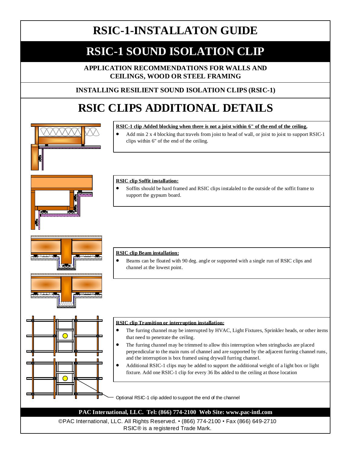## **RSIC-1 SOUND ISOLATION CLIP**

**APPLICATION RECOMMENDATIONS FOR WALLS AND CEILINGS, WOOD OR STEEL FRAMING**

### **INSTALLING RESILIENT SOUND ISOLATION CLIPS (RSIC-1)**

# **RSIC CLIPS ADDITIONAL DETAILS**



RSIC® is a registered Trade Mark.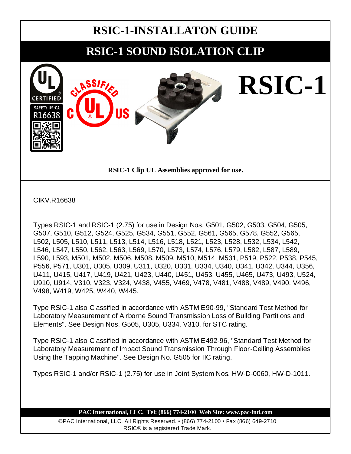## **RSIC-1 SOUND ISOLATION CLIP**



**RSIC-1 Clip UL Assemblies approved for use.**

CIKV.R16638

Types RSIC-1 and RSIC-1 (2.75) for use in Design Nos. G501, G502, G503, G504, G505, G507, G510, G512, G524, G525, G534, G551, G552, G561, G565, G578, G552, G565, L502, L505, L510, L511, L513, L514, L516, L518, L521, L523, L528, L532, L534, L542, L546, L547, L550, L562, L563, L569, L570, L573, L574, L576, L579, L582, L587, L589, L590, L593, M501, M502, M506, M508, M509, M510, M514, M531, P519, P522, P538, P545, P556, P571, U301, U305, U309, U311, U320, U331, U334, U340, U341, U342, U344, U356, U411, U415, U417, U419, U421, U423, U440, U451, U453, U455, U465, U473, U493, U524, U910, U914, V310, V323, V324, V438, V455, V469, V478, V481, V488, V489, V490, V496, V498, W419, W425, W440, W445.

Type RSIC-1 also Classified in accordance with ASTM E90-99, "Standard Test Method for Laboratory Measurement of Airborne Sound Transmission Loss of Building Partitions and Elements". See Design Nos. G505, U305, U334, V310, for STC rating.

Type RSIC-1 also Classified in accordance with ASTM E492-96, "Standard Test Method for Laboratory Measurement of Impact Sound Transmission Through Floor-Ceiling Assemblies Using the Tapping Machine". See Design No. G505 for IIC rating.

Types RSIC-1 and/or RSIC-1 (2.75) for use in Joint System Nos. HW-D-0060, HW-D-1011.

**PAC International, LLC. Tel: (866) 774-2100 Web Site: www.pac-intl.com**